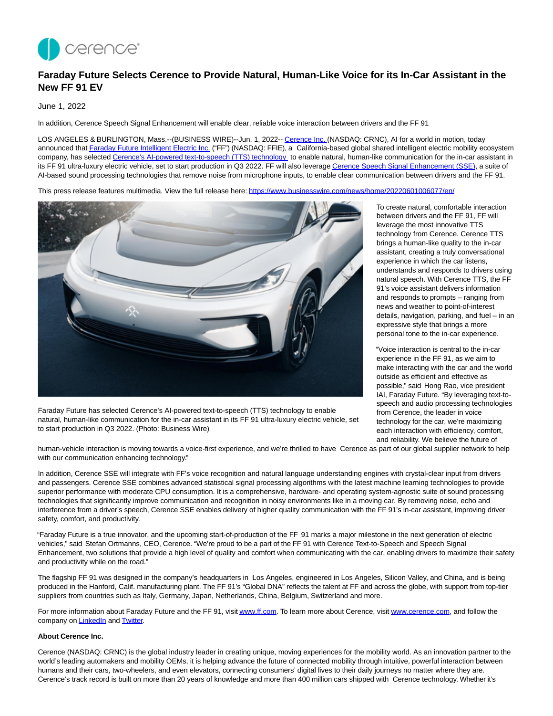

# **Faraday Future Selects Cerence to Provide Natural, Human-Like Voice for its In-Car Assistant in the New FF 91 EV**

# June 1, 2022

In addition, Cerence Speech Signal Enhancement will enable clear, reliable voice interaction between drivers and the FF 91

LOS ANGELES & BURLINGTON, Mass.--(BUSINESS WIRE)--Jun. 1, 2022-[- Cerence Inc.](https://cts.businesswire.com/ct/CT?id=smartlink&url=https%3A%2F%2Fwww.cerence.com%2F&esheet=52736918&newsitemid=20220601006077&lan=en-US&anchor=Cerence+Inc.&index=1&md5=654e5d58c01105e46b907dde319c2299) (NASDAQ: CRNC), AI for a world in motion, today announced that [Faraday Future Intelligent Electric Inc. \(](https://cts.businesswire.com/ct/CT?id=smartlink&url=https%3A%2F%2Fwww.ff.com%2F&esheet=52736918&newsitemid=20220601006077&lan=en-US&anchor=Faraday+Future+Intelligent+Electric+Inc.&index=2&md5=cba436c5b9b2b63fd7b38c762c583e09)"FF") (NASDAQ: FFIE), a California-based global shared intelligent electric mobility ecosystem company, has selected [Cerence's AI-powered text-to-speech \(TTS\) technology t](https://cts.businesswire.com/ct/CT?id=smartlink&url=https%3A%2F%2Fwww.cerence.com%2Fcerence-products%2Fcore-technologies&esheet=52736918&newsitemid=20220601006077&lan=en-US&anchor=Cerence%26%238217%3Bs+AI-powered+text-to-speech+%28TTS%29+technology&index=3&md5=b6e4c0168eeb6e439253ddc6bd0e759f)o enable natural, human-like communication for the in-car assistant in its FF 91 ultra-luxury electric vehicle, set to start production in Q3 2022. FF will also leverag[e Cerence Speech Signal Enhancement \(SSE\),](https://cts.businesswire.com/ct/CT?id=smartlink&url=https%3A%2F%2Fwww.cerence.com%2Fcerence-products%2Fcore-technologies&esheet=52736918&newsitemid=20220601006077&lan=en-US&anchor=Cerence+Speech+Signal+Enhancement+%28SSE%29&index=4&md5=ffb722ca13373e8a3519d00f0ebe9117) a suite of AI-based sound processing technologies that remove noise from microphone inputs, to enable clear communication between drivers and the FF 91.

This press release features multimedia. View the full release here:<https://www.businesswire.com/news/home/20220601006077/en/>



Faraday Future has selected Cerence's AI-powered text-to-speech (TTS) technology to enable natural, human-like communication for the in-car assistant in its FF 91 ultra-luxury electric vehicle, set to start production in Q3 2022. (Photo: Business Wire)

To create natural, comfortable interaction between drivers and the FF 91, FF will leverage the most innovative TTS technology from Cerence. Cerence TTS brings a human-like quality to the in-car assistant, creating a truly conversational experience in which the car listens, understands and responds to drivers using natural speech. With Cerence TTS, the FF 91's voice assistant delivers information and responds to prompts – ranging from news and weather to point-of-interest details, navigation, parking, and fuel – in an expressive style that brings a more personal tone to the in-car experience.

"Voice interaction is central to the in-car experience in the FF 91, as we aim to make interacting with the car and the world outside as efficient and effective as possible," said Hong Rao, vice president IAI, Faraday Future. "By leveraging text-tospeech and audio processing technologies from Cerence, the leader in voice technology for the car, we're maximizing each interaction with efficiency, comfort, and reliability. We believe the future of

human-vehicle interaction is moving towards a voice-first experience, and we're thrilled to have Cerence as part of our global supplier network to help with our communication enhancing technology."

In addition, Cerence SSE will integrate with FF's voice recognition and natural language understanding engines with crystal-clear input from drivers and passengers. Cerence SSE combines advanced statistical signal processing algorithms with the latest machine learning technologies to provide superior performance with moderate CPU consumption. It is a comprehensive, hardware- and operating system-agnostic suite of sound processing technologies that significantly improve communication and recognition in noisy environments like in a moving car. By removing noise, echo and interference from a driver's speech, Cerence SSE enables delivery of higher quality communication with the FF 91's in-car assistant, improving driver safety, comfort, and productivity.

"Faraday Future is a true innovator, and the upcoming start-of-production of the FF 91 marks a major milestone in the next generation of electric vehicles," said Stefan Ortmanns, CEO, Cerence. "We're proud to be a part of the FF 91 with Cerence Text-to-Speech and Speech Signal Enhancement, two solutions that provide a high level of quality and comfort when communicating with the car, enabling drivers to maximize their safety and productivity while on the road."

The flagship FF 91 was designed in the company's headquarters in Los Angeles, engineered in Los Angeles, Silicon Valley, and China, and is being produced in the Hanford, Calif. manufacturing plant. The FF 91's "Global DNA" reflects the talent at FF and across the globe, with support from top-tier suppliers from countries such as Italy, Germany, Japan, Netherlands, China, Belgium, Switzerland and more.

For more information about Faraday Future and the FF 91, visi[t www.ff.com.](https://cts.businesswire.com/ct/CT?id=smartlink&url=http%3A%2F%2Fwww.ff.com&esheet=52736918&newsitemid=20220601006077&lan=en-US&anchor=www.ff.com&index=5&md5=48546846ebaebc72d9db5b4093e3ca36) To learn more about Cerence, visi[t www.cerence.com,](https://cts.businesswire.com/ct/CT?id=smartlink&url=http%3A%2F%2Fwww.cerence.com&esheet=52736918&newsitemid=20220601006077&lan=en-US&anchor=www.cerence.com&index=6&md5=062a17f67a5ac68bd0789e391acad77f) and follow the company o[n LinkedIn a](https://cts.businesswire.com/ct/CT?id=smartlink&url=https%3A%2F%2Fwww.linkedin.com%2Fcompany%2Fcerence%2F&esheet=52736918&newsitemid=20220601006077&lan=en-US&anchor=LinkedIn&index=7&md5=f174a346c37ba05c1676d9ce9c814848)n[d Twitter.](https://cts.businesswire.com/ct/CT?id=smartlink&url=https%3A%2F%2Ftwitter.com%2FCerenceInc&esheet=52736918&newsitemid=20220601006077&lan=en-US&anchor=Twitter&index=8&md5=29e71bc552917665300bb194d1e29b34)

# **About Cerence Inc.**

Cerence (NASDAQ: CRNC) is the global industry leader in creating unique, moving experiences for the mobility world. As an innovation partner to the world's leading automakers and mobility OEMs, it is helping advance the future of connected mobility through intuitive, powerful interaction between humans and their cars, two-wheelers, and even elevators, connecting consumers' digital lives to their daily journeys no matter where they are. Cerence's track record is built on more than 20 years of knowledge and more than 400 million cars shipped with Cerence technology. Whether it's